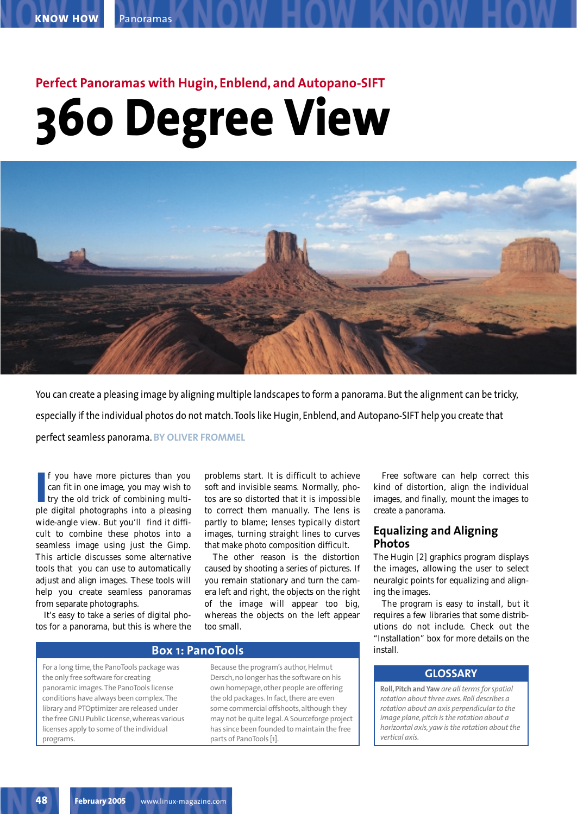# **Perfect Panoramas with Hugin, Enblend, and Autopano-SIFT 360 Degree View**



You can create a pleasing image by aligning multiple landscapes to form a panorama. But the alignment can be tricky, especially if the individual photos do not match. Tools like Hugin, Enblend, and Autopano-SIFT help you create that perfect seamless panorama. **BY OLIVER FROMMEL**

**I** f you have more pictures than you can fit in one image, you may wish to try the old trick of combining multiple digital photographs into a pleasing f you have more pictures than you can fit in one image, you may wish to try the old trick of combining multiwide-angle view. But you'll find it difficult to combine these photos into a seamless image using just the Gimp. This article discusses some alternative tools that you can use to automatically adjust and align images. These tools will help you create seamless panoramas from separate photographs.

It's easy to take a series of digital photos for a panorama, but this is where the problems start. It is difficult to achieve soft and invisible seams. Normally, photos are so distorted that it is impossible to correct them manually. The lens is partly to blame; lenses typically distort images, turning straight lines to curves that make photo composition difficult.

The other reason is the distortion caused by shooting a series of pictures. If you remain stationary and turn the camera left and right, the objects on the right of the image will appear too big, whereas the objects on the left appear too small.

# **Box 1: PanoTools**

For a long time, the PanoTools package was the only free software for creating panoramic images.The PanoTools license conditions have always been complex.The library and PTOptimizer are released under the free GNU Public License, whereas various licenses apply to some of the individual programs.

Because the program's author, Helmut Dersch, no longer has the software on his own homepage, other people are offering the old packages. In fact, there are even some commercial offshoots, although they may not be quite legal. A Sourceforge project has since been founded to maintain the free parts of PanoTools [1].

Free software can help correct this kind of distortion, align the individual images, and finally, mount the images to create a panorama.

# **Equalizing and Aligning Photos**

The Hugin [2] graphics program displays the images, allowing the user to select neuralgic points for equalizing and aligning the images.

The program is easy to install, but it requires a few libraries that some distributions do not include. Check out the "Installation" box for more details on the install.

# **GLOSSARY**

**Roll, Pitch and Yaw** *are all terms for spatial rotation about three axes. Roll describes a rotation about an axis perpendicular to the image plane, pitch is the rotation about a horizontal axis, yaw is the rotation about the vertical axis.*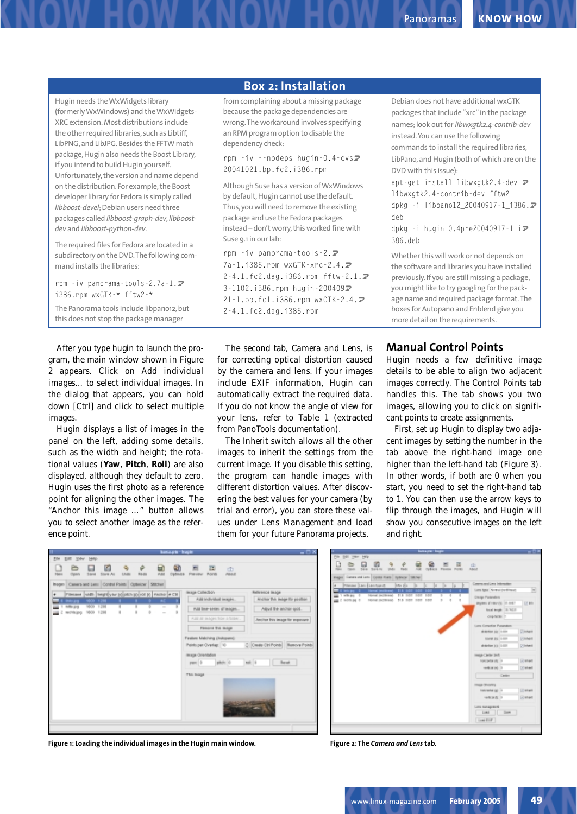|                                                                                                                                                                                                                          | <b>Box 2: Installation</b>                                                                                                                                                                                                                         |                                                                                                                                                                                                                         |
|--------------------------------------------------------------------------------------------------------------------------------------------------------------------------------------------------------------------------|----------------------------------------------------------------------------------------------------------------------------------------------------------------------------------------------------------------------------------------------------|-------------------------------------------------------------------------------------------------------------------------------------------------------------------------------------------------------------------------|
| Hugin needs the WxWidgets library<br>(formerly WxWindows) and the WxWidgets-<br>XRC extension. Most distributions include<br>the other required libraries, such as Libtiff,<br>LibPNG, and LibJPG. Besides the FFTW math | from complaining about a missing package<br>because the package dependencies are<br>wrong. The workaround involves specifying<br>an RPM program option to disable the<br>dependency check:                                                         | Debian does not have additional wxGTK<br>packages that include "xrc" in the package<br>names; look out for libwxgtk2.4-contrib-dev<br>instead. You can use the following<br>commands to install the required libraries, |
| package, Hugin also needs the Boost Library,<br>if you intend to build Hugin yourself.<br>Unfortunately, the version and name depend                                                                                     | rpm $-i\nu$ --nodeps hugin-0.4-cvs $\overline{z}$<br>20041021.bp.fc2.i386.rpm                                                                                                                                                                      | LibPano, and Hugin (both of which are on the<br>DVD with this issue):                                                                                                                                                   |
| on the distribution. For example, the Boost<br>developer library for Fedora is simply called<br>libboost-devel; Debian users need three<br>packages called libboost-graph-dev, libboost-<br>dev and libboost-python-dev. | Although Suse has a version of WxWindows<br>by default, Hugin cannot use the default.<br>Thus, you will need to remove the existing<br>package and use the Fedora packages<br>instead - don't worry, this worked fine with<br>Suse 9.1 in our lab: | apt-get install libwxgtk2.4-dev $\overline{z}$<br>libwxgtk2.4-contrib-dev fftw2<br>dpkg -i libpano12_20040917-1_i386.2<br>deb<br>dpkg -i hugin_0.4pre20040917-1_i2                                                      |
| The required files for Fedora are located in a<br>subdirectory on the DVD. The following com-<br>mand installs the libraries:                                                                                            | rpm $-i\nu$ panorama-tools-2. $\overline{z}$<br>7a-1.i386.rpm wxGTK-xrc-2.4.2                                                                                                                                                                      | 386.deb<br>Whether this will work or not depends on<br>the software and libraries you have installed                                                                                                                    |
| rpm -iv panorama-tools-2.7a-1. <del></del><br>i386.rpm wxGTK-* fftw2-*                                                                                                                                                   | 2-4.1.fc2.dag.i386.rpm fftw-2.1. $\bar{z}$<br>3-1102.i586.rpm hugin-2004092<br>21-1.bp.fc1.i386.rpm wxGTK-2.4. $\triangleright$                                                                                                                    | previously. If you are still missing a package,<br>you might like to try googling for the pack-<br>age name and required package format. The                                                                            |
| The Panorama tools include libpano12, but<br>this does not stop the package manager                                                                                                                                      | $2 - 4.1$ .fc2.dag.i386.rpm                                                                                                                                                                                                                        | boxes for Autopano and Enblend give you<br>more detail on the requirements.                                                                                                                                             |

gram, the main window shown in Figure 2 appears. Click on *Add individual images…* to select individual images. In the dialog that appears, you can hold down [Ctrl] and click to select multiple images.

Hugin displays a list of images in the panel on the left, adding some details, such as the width and height; the rotational values (**Yaw**, **Pitch**, **Roll**) are also displayed, although they default to zero. Hugin uses the first photo as a reference point for aligning the other images. The "Anchor this image …" button allows you to select another image as the reference point.

The second tab, *Camera and Lens*, is for correcting optical distortion caused by the camera and lens. If your images include EXIF information, Hugin can automatically extract the required data. If you do not know the angle of view for your lens, refer to Table 1 (extracted from PanoTools documentation).

The *Inherit* switch allows all the other images to inherit the settings from the current image. If you disable this setting, the program can handle images with different distortion values. After discovering the best values for your camera (by trial and error), you can store these values under *Lens Management* and load them for your future Panorama projects.

**Manual Control Points** Hugin needs a few definitive image details to be able to align two adjacent images correctly. The *Control Points* tab handles this. The tab shows you two images, allowing you to click on significant points to create assignments.

First, set up Hugin to display two adjacent images by setting the number in the tab above the right-hand image one higher than the left-hand tab (Figure 3). In other words, if both are 0 when you start, you need to set the right-hand tab to 1. You can then use the arrow keys to flip through the images, and Hugin will show you consecutive images on the left and right.

| Ħ<br><b>Bantage - bugin</b>                                                                                                                                                                 | $-0x$                                                                                                                                                                                                                                                                                                                                                                                                                                           |
|---------------------------------------------------------------------------------------------------------------------------------------------------------------------------------------------|-------------------------------------------------------------------------------------------------------------------------------------------------------------------------------------------------------------------------------------------------------------------------------------------------------------------------------------------------------------------------------------------------------------------------------------------------|
| the first year rest-<br>ø<br>u<br><b>UNBI</b><br>ABI<br>Open<br>Radia<br>Dalmica<br><b>3 lares</b><br>Silver Art<br>Caners and Lens   Contrat Paints   Optimizer   Stitcher<br>Im ogans     | $\overline{ }$<br>罩<br><b>CD</b><br><b>ABBE</b><br>Parviou<br>Points                                                                                                                                                                                                                                                                                                                                                                            |
| Piterane (HAB) EMPES for EQUADA BO FOR RICHARD # CBI<br>1000 1200<br><b>INFLIDE</b><br>×<br>1000<br>1200<br>т<br>т<br>nde po<br>$\sim$<br>B<br>1000 1200<br>×<br>sechia jarg<br>b<br>$\sim$ | Reference Inage<br>In Ige Callectory<br>Anchor Trik Indge for position<br>Add individual images<br>Add box-series of ledges.<br>Афий Те воли фор.<br>Add at mages from a finish.<br>Anchor free image for exposure<br><b>Firmane Tvi: Indge</b><br>Fashire Makining Diskopamo<br>C Create OH Points Bettyw Points<br>Points per Overlag: 10<br><b>Image Orientation</b><br>$pmc$   $0$<br>$mE$   $n$<br><b>Baset</b><br>pitch: 0<br>This lindge |
|                                                                                                                                                                                             |                                                                                                                                                                                                                                                                                                                                                                                                                                                 |

**Figure 1: Loading the individual images in the Hugin main window. Figure 2: The** *Camera and Lens* **tab.**

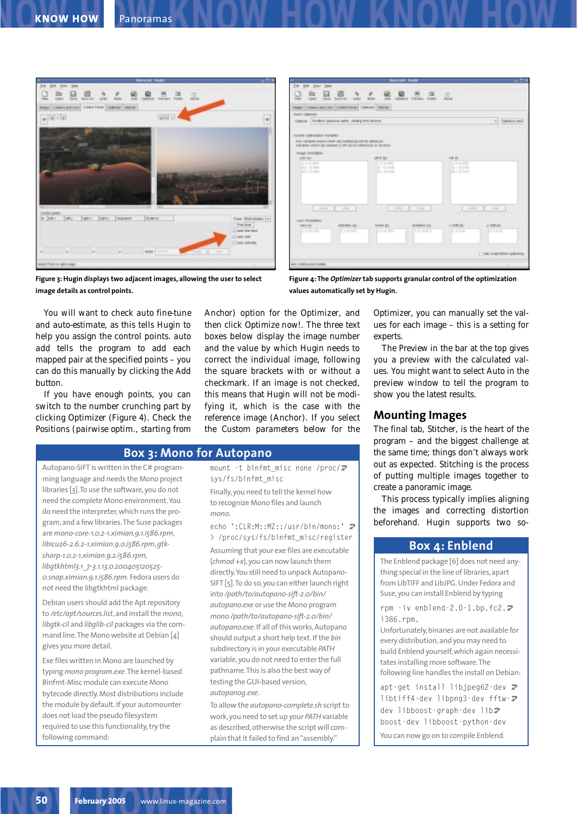



**Figure 3: Hugin displays two adjacent images, allowing the user to select image details as control points.**

**Figure 4: The** *Optimizer* **tab supports granular control of the optimization values automatically set by Hugin.**

You will want to check *auto fine-tune* and *auto-estimate*, as this tells Hugin to help you assign the control points. *auto add* tells the program to add each mapped pair at the specified points – you can do this manually by clicking the *Add* button.

If you have enough points, you can switch to the number crunching part by clicking *Optimizer* (Figure 4). Check the *Positions (pairwise optim., starting from*

Autopano-SIFT is written in the C# programming language and needs the Mono project libraries [3].To use the software, you do not need the complete Mono environment.You do need the interpreter, which runs the program, and a few libraries.The Suse packages are *mono-core-1.0.2-1.ximian.9.1.i586.rpm*, *libicu26-2.6.2-1.ximian.9.0.i586.rpm*,*gtksharp-1.0.2-1.ximian.9.2.i586.rpm*, *libgtkhtml3.1\_7-3.1.13.0.200405120525- 0.snap.ximian.9.1.i586.rpm.* Fedora users do not need the libgtkhtml package.

Debian users should add the Apt repository to */etc/apt/sources.list*, and install the *mono*, *libgtk-cil* and *libglib-cil* packages via the command line.The Mono website at Debian [4] gives you more detail.

Exe files written in Mono are launched by typing *mono program.exe*.The kernel-based Binfmt-Misc module can execute Mono bytecode directly. Most distributions include the module by default. If your automounter does not load the pseudo filesystem required to use this functionality, try the following command:

*Anchor)* option for the *Optimizer*, and then click *Optimize now!*. The three text boxes below display the image number and the value by which Hugin needs to correct the individual image, following the square brackets with or without a checkmark. If an image is not checked, this means that Hugin will not be modifying it, which is the case with the reference image (Anchor). If you select *the Custom parameters below* for the

### **Box 3: Mono for Autopano**

mount -t binfmt\_misc none /proc/ $\overline{Z}$ sys/fs/binfmt\_misc Finally, you need to tell the kernel how to recognize Mono files and launch *mono*.

echo ':CLR:M::MZ::/usr/bin/mono:' 2 > /proc/sys/fs/binfmt\_misc/register Assuming that your exe files are executable (*chmod +x*), you can now launch them directly.You still need to unpack Autopano-SIFT [5].To do so, you can either launch right into */path/to/autopano-sift-2.0/bin/ autopano.exe* or use the Mono program *mono /path/to/autopano-sift-2.0/bin/ autopano.exe*. If all of this works, Autopano should output a short help text. If the *bin* subdirectory is in your executable *PATH* variable, you do not need to enter the full pathname.This is also the best way of testing the GUI-based version, *autopanog.exe*.

To allow the *autopano-complete.sh* script to work, you need to set up your *PATH*variable as described, otherwise the script will complain that it failed to find an "assembly."

*Optimizer*, you can manually set the values for each image – this is a setting for experts.

The *Preview* in the bar at the top gives you a preview with the calculated values. You might want to select *Auto* in the preview window to tell the program to show you the latest results.

# **Mounting Images**

The final tab, *Stitcher*, is the heart of the program – and the biggest challenge at the same time; things don't always work out as expected. Stitching is the process of putting multiple images together to create a panoramic image.

This process typically implies aligning the images and correcting distortion beforehand. Hugin supports two so-

# **Box 4: Enblend**

The Enblend package [6] does not need anything special in the line of libraries, apart from LibTIFF and LibJPG. Under Fedora and Suse, you can install Enblend by typing

rpm -iv enblend-2.0-1.bp.fc2. $\overline{Z}$ i386.rpm.

Unfortunately, binaries are not available for every distribution, and you may need to build Enblend yourself, which again necessitates installing more software.The following line handles the install on Debian:

apt-get install libjpeg62-dev  $\overline{Z}$ libtiff4-dev libpng3-dev fftw- $\overline{Z}$ dev libboost-graph-dev libz boost-dev libboost-python-dev You can now go on to compile Enblend.